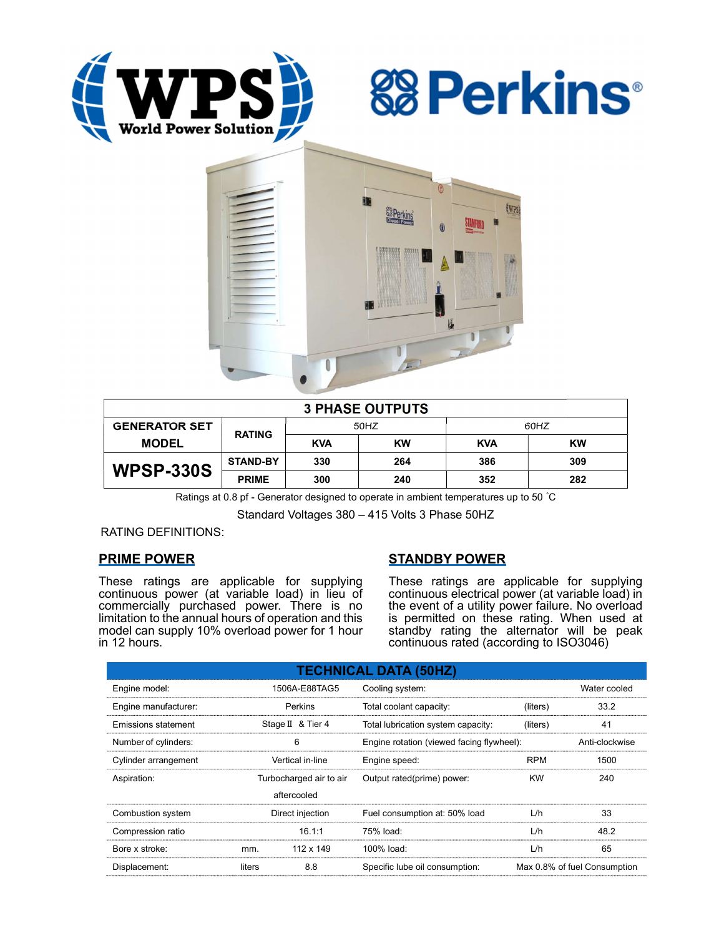





| <b>3 PHASE OUTPUTS</b> |                 |            |           |            |     |  |  |
|------------------------|-----------------|------------|-----------|------------|-----|--|--|
| <b>GENERATOR SET</b>   | <b>RATING</b>   | 50HZ       |           | 60HZ       |     |  |  |
| <b>MODEL</b>           |                 | <b>KVA</b> | <b>KW</b> | <b>KVA</b> | KW  |  |  |
| <b>WPSP-330S</b>       | <b>STAND-BY</b> | 330        | 264       | 386        | 309 |  |  |
|                        | <b>PRIME</b>    | 300        | 240       | 352        | 282 |  |  |

Ratings at 0.8 pf - Generator designed to operate in ambient temperatures up to 50 °C

Standard Voltages 380 – 415 Volts 3 Phase 50HZ

RATING DEFINITIONS:

# PRIME POWER

These ratings are applicable for supplying continuous power (at variable load) in lieu of commercially purchased power. There is no limitation to the annual hours of operation and this model can supply 10% overload power for 1 hour in 12 hours.

# STANDBY POWER

These ratings are applicable for supplying continuous electrical power (at variable load) in the event of a utility power failure. No overload is permitted on these rating. When used at standby rating the alternator will be peak continuous rated (according to ISO3046)

| <b>TECHNICAL DATA (50HZ)</b> |                         |             |                                           |                              |                |  |
|------------------------------|-------------------------|-------------|-------------------------------------------|------------------------------|----------------|--|
| Engine model:                | 1506A-E88TAG5           |             | Cooling system:                           | Water cooled                 |                |  |
| Engine manufacturer:         | Perkins                 |             | Total coolant capacity:                   | (liters)                     | 33.2           |  |
| Emissions statement          | Stage II & Tier 4       |             | Total lubrication system capacity:        | (liters)                     | 41             |  |
| Number of cylinders:         | 6                       |             | Engine rotation (viewed facing flywheel): |                              | Anti-clockwise |  |
| Cylinder arrangement         | Vertical in-line        |             | Engine speed:                             | <b>RPM</b>                   | 1500           |  |
| Aspiration:                  | Turbocharged air to air |             | Output rated(prime) power:                | <b>KW</b>                    | 240            |  |
|                              |                         | aftercooled |                                           |                              |                |  |
| Combustion system            | Direct injection        |             | Fuel consumption at: 50% load             | L/h                          | 33             |  |
| Compression ratio            |                         | 16.1:1      | 75% load:                                 | L/h                          | 48.2           |  |
| Bore x stroke:               | mm.                     | 112 x 149   | 100% load:                                | L/h                          | 65             |  |
| Displacement:                | 8.8<br>liters           |             | Specific lube oil consumption:            | Max 0.8% of fuel Consumption |                |  |